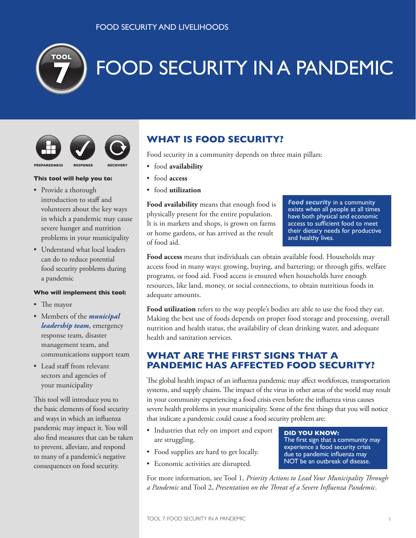

# FOOD SECURITY IN A PANDEMIC





**PREPAREDNESS RESPONSE RECOVERY**

# **This tool will help you to:**

- Provide a thorough introduction to staff and volunteers about the key ways in which a pandemic may cause severe hunger and nutrition problems in your municipality
- • Understand what local leaders can do to reduce potential food security problems during a pandemic

# **Who will implement this tool:**

- The mayor
- • Members of the *municipal leadership team*, emergency response team, disaster management team, and communications support team
- • Lead staff from relevant sectors and agencies of your municipality

This tool will introduce you to the basic elements of food security and ways in which an influenza pandemic may impact it. You will also find measures that can be taken to prevent, alleviate, and respond to many of a pandemic's negative consequences on food security.

# **WHAT IS FOOD SECURITY?**

Food security in a community depends on three main pillars:

- • food **availability**
- • food **access**
- • food **utilization**

**Food availability** means that enough food is physically present for the entire population. It is in markets and shops, is grown on farms or home gardens, or has arrived as the result of food aid.

*Food security* in a community exists when all people at all times have both physical and economic access to sufficient food to meet their dietary needs for productive and healthy lives.

**Food access** means that individuals can obtain available food. Households may access food in many ways: growing, buying, and bartering; or through gifts, welfare programs, or food aid. Food access is ensured when households have enough resources, like land, money, or social connections, to obtain nutritious foods in adequate amounts.

**Food utilization** refers to the way people's bodies are able to use the food they eat. Making the best use of foods depends on proper food storage and processing, overall nutrition and health status, the availability of clean drinking water, and adequate health and sanitation services.

# **WHAT ARE THE FIRST SIGNS THAT A PANDEMIC HAS AFFECTED FOOD SECURITY?**

The global health impact of an influenza pandemic may affect workforces, transportation systems, and supply chains. The impact of the virus in other areas of the world may result in your community experiencing a food crisis even before the influenza virus causes severe health problems in your municipality. Some of the first things that you will notice that indicate a pandemic could cause a food security problem are:

- Industries that rely on import and export are struggling.
- • Food supplies are hard to get locally.
- • Economic activities are disrupted.

**DID YOU KNOW:**  The first sign that a community may experience a food security crisis due to pandemic influenza may NOT be an outbreak of disease.

For more information, see Tool 1, *Priority Actions to Lead Your Municipality Through a Pandemic* and Tool 2, *Presentation on the Threat of a Severe Influenza Pandemic*.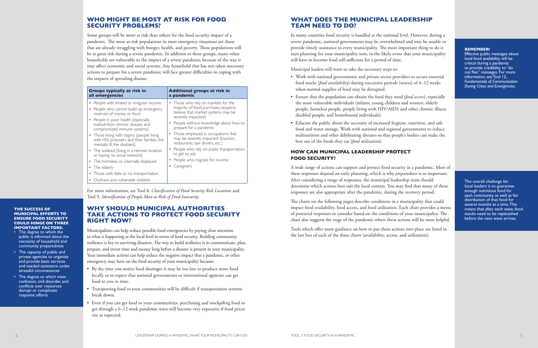# **WHO MIGHT BE MOST AT RISK FOR FOOD SECURITY PROBLEMS?**

Some groups will be more at risk than others for the food security impact of a pandemic. The most at-risk populations in most emergency situations are those that are already struggling with hunger, health, and poverty. These populations will be at great risk during a severe pandemic. In addition to these groups, many other households are vulnerable to the impact of a severe pandemic because of the way it may affect economic and social systems. Any household that has not taken necessary actions to prepare for a severe pandemic will face greater difficulties in coping with the impacts of spreading disease.

For more information, see Tool 8, *Classification of Food Security Risk Locations* and Tool 9, *Identification of People Most at Risk of Food Insecurity*.

# **WHY SHOULD MUNICIPAL AUTHORITIES TAKE ACTIONS TO PROTECT FOOD SECURITY RIGHT NOW?**

- By the time you notice food shortages it may be too late to produce more food locally or to expect that national governments or international agencies can get food to you in time.
- • Transporting food to your communities will be difficult if transportation systems break down.
- Even if you can get food to your communities, purchasing and stockpiling food to get through a 6–12 week pandemic wave will become very expensive if food prices rise as expected.

Municipalities can help reduce possible food emergencies by paying close attention to what is happening at the local level in terms of food security. Building community resilience is key to surviving disasters. The way to build resilience is to communicate, plan, prepare, and invest time and money long before a disaster is present in your municipality. Your immediate actions can help reduce the negative impact that a pandemic, or other emergency, may have on the food security of your municipality because:

# **WHAT DOES THE MUNICIPAL LEADERSHIP TEAM NEED TO DO?**

In many countries food security is handled at the national level. However, during a severe pandemic, national governments may be overwhelmed and may be unable to provide timely assistance to every municipality. The most important thing to do is start planning for your municipality now, in the likely event that your municipality will have to become food self-sufficient for a period of time.

Municipal leaders will want to take the necessary steps to:

- • Work with national governments and private sector providers to secure essential food stocks (*food availability*) during successive periods (waves) of 6–12 weeks when normal supplies of food may be disrupted.
- Ensure that the population can obtain the food they need (*food access*), especially the most vulnerable individuals (infants, young children and women, elderly people, homeless people, people living with HIV/AIDS and other chronic illness, disabled people, and homebound individuals).
- Educate the public about the necessity of increased hygiene, nutrition, and safe food and water storage. Work with national and regional governments to reduce malnutrition and other debilitating diseases so that people's bodies can make the best use of the foods they eat (*food utilization*).

# **HOW CAN MUNICIPAL LEADERSHIP PROTECT FOOD SECURITY?**

A wide range of actions can support and protect food security in a pandemic. Most of these responses depend on early planning, which is why *preparedness* is so important. After considering a range of responses, the municipal leadership team should determine which actions best suit the local context. You may find that many of these responses are also appropriate after the pandemic, during the recovery period.

The charts on the following pages describe conditions in a municipality that could impact food availability, food access, and food utilization. Each chart provides a menu of potential responses to consider based on the conditions of your municipality. The chart also suggests the stage of the pandemic where these actions will be most helpful.

Tools which offer more guidance on how to put these actions into place are listed in the last box of each of the three charts (availability, access, and utilization).

| Groups typically at risk in                                                                                                                                                                                                                                                                                                                                                                                                                                                                                                                                                                | <b>Additional groups at risk in</b>                                                                                                                                                                                                                                                                                                                                                                                                                |
|--------------------------------------------------------------------------------------------------------------------------------------------------------------------------------------------------------------------------------------------------------------------------------------------------------------------------------------------------------------------------------------------------------------------------------------------------------------------------------------------------------------------------------------------------------------------------------------------|----------------------------------------------------------------------------------------------------------------------------------------------------------------------------------------------------------------------------------------------------------------------------------------------------------------------------------------------------------------------------------------------------------------------------------------------------|
| all emergencies                                                                                                                                                                                                                                                                                                                                                                                                                                                                                                                                                                            | a pandemic                                                                                                                                                                                                                                                                                                                                                                                                                                         |
| • People with limited or irregular income<br>People who cannot build up emergency<br>$\bullet$<br>reserves of money or food<br>• People in poor health (especially<br>malnutrition, chronic disease, and<br>compromised immune systems)<br>Those living with stigma (people living<br>with HIV, prisoners and their families, the<br>mentally ill, the disabled)<br>• The isolated (living in a remote location<br>or having no social network)<br>• The homeless or internally displaced<br>The elderly<br>٠<br>Those with little or no transportation<br>Orphans and vulnerable children | • Those who rely on markets for the<br>majority of food purchases (experts<br>believe that market systems may be<br>severely impacted)<br>People without knowledge about how to<br>prepare for a pandemic<br>Those employed in occupations that<br>$\bullet$<br>may be severely impacted (tourism,<br>restaurants, taxi drivers, etc.)<br>People who rely on public transportation<br>to get to job<br>People who migrate for income<br>Caregivers |

**THE SUCCESS OF** 

**MUNICIPAL EFFORTS TO ENSURE FOOD SECURITY COULD HINGE ON THREE IMPORTANT FACTORS:** • The degree to which the public is informed about the necessity of household and community preparedness • The capacity of public and private agencies to organize and provide basic services and needed assistance under stressful circumstances • The degree to which mass confusion, civil disorder, and conflicts over resources disrupt or complicate response efforts

The overall challenge for local leaders is to guarantee enough nutritious food for each community as well as fair distribution of that food for several months at a time. This means that after each wave, food stocks need to be replenished before the next wave arrives.

## **REMEMBER!**

Effective public messages about local food availability will be critical during a pandemic to provide credibility to "do not flee" messages. For more information, see Tool 12, *Fundamentals of Communication During Crises and Emergencies.*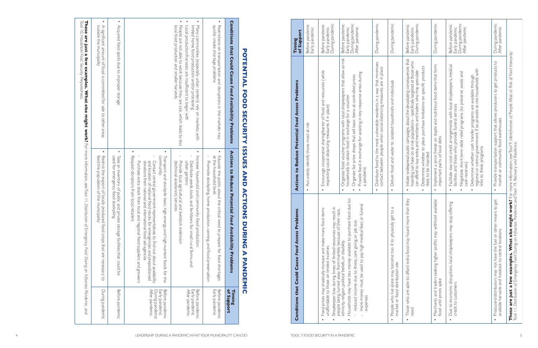# POTENTIAL FOOD SECURITY ISSUES AND ACTIONS DURING A PANDEMIC **POTENTIAL FOOD SECURITY ISSUES AND ACTIONS DURING A PANDEMIC**

| Conditions that Could Cause Food Availability Problems                                                                                                                                                                                                                                                  | <b>Actions to Reduce Potential</b><br><b>Food Availability Problems</b>                                                                                                                                                                                                                                                                                                                                                                     | of Support<br><b>Timing</b>                                            |
|---------------------------------------------------------------------------------------------------------------------------------------------------------------------------------------------------------------------------------------------------------------------------------------------------------|---------------------------------------------------------------------------------------------------------------------------------------------------------------------------------------------------------------------------------------------------------------------------------------------------------------------------------------------------------------------------------------------------------------------------------------------|------------------------------------------------------------------------|
| quickly create shortage problems<br>Restrictions on transportation and disruptions in the markets may                                                                                                                                                                                                   | at the household level:<br>Educate the public about the critical need to prepare for food shortages<br>Promote stockpiling, home production, canning, and food preservation                                                                                                                                                                                                                                                                 | Before pandemic<br>Early pandemic                                      |
| People are not able to sork pecause they are sick shrich leads to less<br>Local production/harvests are insufficient to begin with<br>limited home tood production and/or processing<br>Many connunities (especially urban centers) rely on markets, with<br>local food production and smaller harvests | Increase porochold and connuity food production:<br>Provide local agricultural and livestock extension<br>urban gardens<br>Distribute seeds, tools, and fertilizers for small rural farms and<br>(technical assistance) services                                                                                                                                                                                                            | Atter pandemic<br>Before pandemic<br>Early pandemic                    |
|                                                                                                                                                                                                                                                                                                         | Request donations from local retailers<br>Transport and stockpile basic, high<br>community:<br>Contact central government representatives to find out about availability<br>Purchase extra stock from local<br>and location of national food stocks for emergencies and prepositioned<br>donations from national and international food aid agencies<br>and regional food suppliers and growers<br>n-energy and high-nutrient foods for the | Before pandemic<br>After pandemic<br>Early pandemic<br>During pandemic |
| Acquired food spoils due to improper storage                                                                                                                                                                                                                                                            | used for emergency food stockpiling<br>Take an inventory of public and pr<br>ivate storage facilities that could be                                                                                                                                                                                                                                                                                                                         | Before pandemic                                                        |
| A significant amount of food is connitted for sale to other areas<br>outside the municipality                                                                                                                                                                                                           | Restrict the export of locally produced food crops that are necessary to<br>feed the population of the municipality                                                                                                                                                                                                                                                                                                                         | During pandemic                                                        |
|                                                                                                                                                                                                                                                                                                         | These are just a few examples. What else might work? For the property form the property form the property form the property form the contribution of Fmergency Finite and the contribution of Fmergency Property Property Prop                                                                                                                                                                                                              |                                                                        |

**These are just a few examples. What else might work?** For more information, seeTool 5 *Distribution of Emergency Food During an Influenza Pandemic,* and Tool 10, *Household Food Security Preparedness.* 

| ms<br><b>Conditions that Could Cause Food Access Proble</b>                                                                                                                                                                                                                       | <b>Actions to Reduce Potential Food Access Problems</b>                                                                                                                                                                                                                                                                                                                                                              | of Support<br>Timing                                                   |
|-----------------------------------------------------------------------------------------------------------------------------------------------------------------------------------------------------------------------------------------------------------------------------------|----------------------------------------------------------------------------------------------------------------------------------------------------------------------------------------------------------------------------------------------------------------------------------------------------------------------------------------------------------------------------------------------------------------------|------------------------------------------------------------------------|
|                                                                                                                                                                                                                                                                                   | Accurately identify those most at risk<br>$\bullet$                                                                                                                                                                                                                                                                                                                                                                  | Before pandemic<br>Early pandemic                                      |
| Shopkeeper bias during times of limited resources may result in<br>Food prices may drastically increase and make many food items<br>people being turned away from markets because of their race,<br>unaffordable to those on limited incomes                                      | Encourage cooperative sharing/barter of food and resources (while<br>respecting social distancing measures if in place)<br>$\bullet$                                                                                                                                                                                                                                                                                 | During pandemic<br>Before pandemic<br>Early pandemic                   |
| d due to:<br>more money must be used to pay high medical fees or funeral<br>Households may have less money available to purchase foo<br>reduced income due to illness, care giving, or job loss<br>ethnicity, religion, political beliefs, or disability<br>expenses<br>$\bullet$ | Organize food voucher programs with local shopkeepers that allow at-risk<br>households to obtain food in exchange for a voucher<br>Provide food in exchange for assisting in key response areas during<br>Organize fair price shops that sell basic items at controlled prices<br>a pandemic<br>$\bullet$                                                                                                            | During pandemic<br>After pandemic<br>Before pandemic<br>Early pandemic |
|                                                                                                                                                                                                                                                                                   | Distribute food to the most vulnerable residents in a way that minimizes<br>contact between people when social distancing measures are in place<br>$\bullet$                                                                                                                                                                                                                                                         | During pandemic                                                        |
| £,<br>$\overline{C}$<br>People who live alone may become too ill to physically get<br>market or food distribution site<br>$\bullet$                                                                                                                                               | Deliver food and water to isolated households and individuals<br>$\bullet$                                                                                                                                                                                                                                                                                                                                           | During pandemic                                                        |
| than they<br>Those who are able to afford extra food may hoard more<br>need<br>$\bullet$                                                                                                                                                                                          | Initiate widespread public campaigns about the devastating consequences that<br>hoarding can have on at-risk populations—specifically targeted at those who<br>Determine whether to place purchase limitations on specific products<br>can afford to buy extra, and merchants and traders who may speculate<br>likely to be hoarded<br>$\bullet$                                                                     | During pandemic<br>Before pandemic<br>Early pandemic                   |
| available<br>Merchants and traders seeking higher profits may withhold<br>food until prices spike<br>$\bullet$                                                                                                                                                                    | Implement a price freeze on staple and nutritious food items that form<br>important parts of local diets<br>$\bullet$                                                                                                                                                                                                                                                                                                | During pandemic                                                        |
| offering<br>Due to economic disruptions, local shopkeepers may stop<br>credit to customers                                                                                                                                                                                        | Facilitate low-cost credit arrangements with local shopkeepers, medical<br>regional or central government. If so, provide at-risk households with<br>Negotiate short-term debt relief programs (to preserve assets and<br>Determine whether cash transfer programs are available through<br>facilities, and those who provide funeral services<br>links to these programs<br>cash reserves<br>$\bullet$<br>$\bullet$ | During pandemic<br>Before pandemic<br>After pandemic<br>Early pandemic |
| Producers/distributors may not have the fuel or other means to get<br>available harvests and livestock to central locations<br>$\ddot{\phantom{0}}$                                                                                                                               | Provide transportation support that allows producers to get products to<br>market or community food warehouses<br>$\bullet$                                                                                                                                                                                                                                                                                          | During pandemic<br>After pandemic                                      |
| Tool II, Distribution of Emergency Food During an Influenza Pandemic; and Tool 19, Recovery and Resilience.<br>These are just a few examples. What else might                                                                                                                     | work? For more information, see Tool 9, Identification of People Most at Risk of Food Insecurity;                                                                                                                                                                                                                                                                                                                    |                                                                        |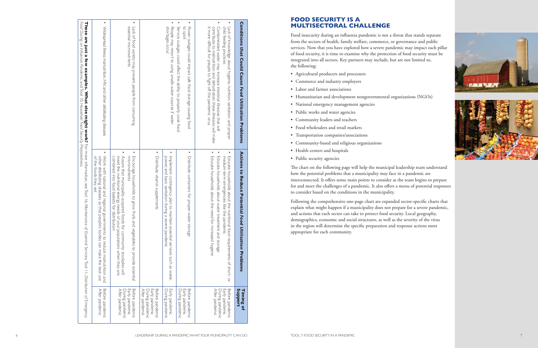| <b>Conditions that Could Cause Food Utilization Problems</b>                                                                                                                                                                                                                                             | <b>Actions to Reduce Potential</b><br>Food Utilization Problems                                                                                                                                                                                                                                        | Support<br><b>Timing of</b>                                            |
|----------------------------------------------------------------------------------------------------------------------------------------------------------------------------------------------------------------------------------------------------------------------------------------------------------|--------------------------------------------------------------------------------------------------------------------------------------------------------------------------------------------------------------------------------------------------------------------------------------------------------|------------------------------------------------------------------------|
| contribute to malnutrition and dehydration; these illnesses will make<br>child feeding practices<br>it more difficult for people to fight off the pandemic virus<br>Contaminated water may increase intestinal illnesses that will<br>Lack of knowledge about hygiene, nutrition, sanitation, and proper | medium-term emergencies like the pandemic<br>Educate households about the nutritional food requiremements of short-or<br>Educate households about the need for increased hygiene<br>Educate households about water treatment and storage                                                               | Early pandemic<br>Before pandemic<br>After pandemic<br>During pandemic |
| Service outages could affect the ability to properly cook food<br>pods or<br>Power outages could impact safe food storage causing food                                                                                                                                                                   | $\bullet$<br>Distribute containers for proper water storage                                                                                                                                                                                                                                            | Before pandemic<br>Early pandemic<br>During pandemic                   |
| shortages occur<br>People may resort to using unsafe water sources if water                                                                                                                                                                                                                              | Implement contingency plan to maintain essential services such as water;<br>power, and basic sanitation during<br>a severe pandemic                                                                                                                                                                    | Early pandemic<br>During pandemic                                      |
|                                                                                                                                                                                                                                                                                                          | Distribute vitamin supplements                                                                                                                                                                                                                                                                         | After pandemic<br>Early pandemic<br>Before pandemic<br>Juring pandemic |
| ٠<br>essential micronutrients<br>Lack of food variety may prevent people from consuming                                                                                                                                                                                                                  | Assure that municipality-acquired<br>meet the nutritional energy needs of your populations when they are<br>micronutrients<br>combined into food baskets for d<br>Encourage households to grow fruits and vegetables to provide essential<br><b>Istribution</b><br>foods for community stockpiles will | After pandemic<br>Before pandemic<br>Early pandemic<br>During pandemic |
| ٠<br>Widespread illness malnutrition, HIV, and other debilitating diseases                                                                                                                                                                                                                               | $\bullet$<br>Work with national and regional<br>other debilitating diseases so that<br>of the foods they eat<br>governments to reduce malnutrition and<br>people's bodies can make the best use                                                                                                        | Before pandemic<br>After pandemic                                      |
|                                                                                                                                                                                                                                                                                                          | <b>These are just a few examples. What else might work?</b> For more information, see Tool 16, Maintenance of Essentid Services; Tool 11, Distribution of Emergency<br>Food During an Influenza Pandemic and Tool Hoold Food Security                                                                  |                                                                        |

- • Agricultural producers and processors
- • Commerce and industry employers
- • Labor and farmer associations
- Humanitarian and development nongovernmental organizations (NGOs)
- • National emergency management agencies
- Public works and water agencies
- • Community leaders and teachers
- • Food wholesalers and retail markets
- • Transportation companies/associations
- • Community-based and religious organizations
- Health centers and hospitals
- Public security agencies

# *Food During an Influenza Pandemic;* andTool 10, *Household Food Security Preparedness.*

# **FOOD SECURITY IS A MULTISECTORAL CHALLENGE**

Food insecurity during an influenza pandemic is not a threat that stands separate from the sectors of health, family welfare, commerce, or governance and public services. Now that you have explored how a severe pandemic may impact each pillar of food security, it is time to examine why the protection of food security must be integrated into all sectors. Key partners may include, but are not limited to, the following:

The chart on the following page will help the municipal leadership team understand how the potential problems that a municipality may face in a pandemic are interconnected. It offers some main points to consider as the team begins to prepare for and meet the challenges of a pandemic. It also offers a menu of potential responses to consider based on the conditions in the municipality.

Following the comprehensive one-page chart are expanded sector-specific charts that explain what might happen if a municipality does not prepare for a severe pandemic, and actions that each sector can take to protect food security. Local geography, demographics, economic and social structures, as well as the severity of the virus in the region will determine the specific preparation and response actions most appropriate for each community.



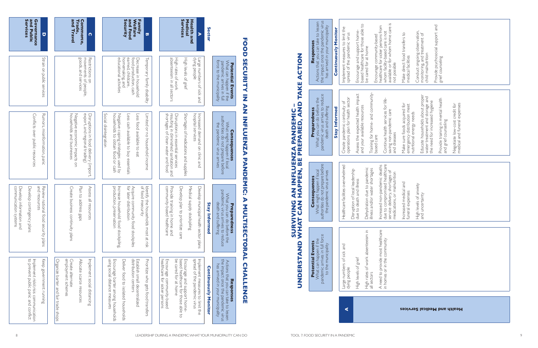9

and resources resources

panic an<br>D

| $\Box$                                               | <b>Commerce,<br/>Trade,<br/>and Travel</b><br>$\Omega$                                                                                          | Family<br>Welfare<br>and Food<br>Security<br>Ø                                                                                                                                                                 | <b>Health and<br/>Medical<br/>Services</b><br>Sector<br>$\blacktriangleright$                                                                                                                                                                                                                                                                                                                  | <b>FOOD</b>                                                             | <b>Responses</b><br>Actions that you can take to lessen<br>the impact once the pandemic virus<br>has arrived in your municipality<br><b>Continuously Monitor</b> | Encourage community-based<br>  healthcare for sicker persons from<br>  whom facility-based care is not<br>  available or for whom home care is<br>  not possible<br>Encourage and support home-<br>based healthcare for those able to<br>be cared for at home<br>Provide psychosocial support and<br>grief counseling<br>Implement measures to limit the<br>spread of the pandemic virus                                                                                                                                                                                                                    |
|------------------------------------------------------|-------------------------------------------------------------------------------------------------------------------------------------------------|----------------------------------------------------------------------------------------------------------------------------------------------------------------------------------------------------------------|------------------------------------------------------------------------------------------------------------------------------------------------------------------------------------------------------------------------------------------------------------------------------------------------------------------------------------------------------------------------------------------------|-------------------------------------------------------------------------|------------------------------------------------------------------------------------------------------------------------------------------------------------------|-------------------------------------------------------------------------------------------------------------------------------------------------------------------------------------------------------------------------------------------------------------------------------------------------------------------------------------------------------------------------------------------------------------------------------------------------------------------------------------------------------------------------------------------------------------------------------------------------------------|
| Strain on public services                            | Restrictions on<br>movements of people,<br>goods, and services                                                                                  | Decrease in household<br>food production, cash<br>earned, childcare,<br>homemaking, and<br>educational activities<br>Temporary family disability                                                               | Large numbers of sick and<br>dying people<br>High rates of work<br>absenteeism in all sectors<br>High levels of grief<br><b>Potential Events</b><br>What can happen if the<br>pandemic arrives in full<br>force to the municipality                                                                                                                                                            | <b>ACTION</b><br>S<br><b>HONNIT</b><br><b>TAKE</b><br>$\prec$           |                                                                                                                                                                  | ionduct ongoing observation,<br>nonitoring, and treatment of<br>Make direct food transfers to<br>medical facilities<br>child malnutrition                                                                                                                                                                                                                                                                                                                                                                                                                                                                   |
|                                                      |                                                                                                                                                 |                                                                                                                                                                                                                |                                                                                                                                                                                                                                                                                                                                                                                                | Ž<br><b>N</b>                                                           |                                                                                                                                                                  |                                                                                                                                                                                                                                                                                                                                                                                                                                                                                                                                                                                                             |
| Rumors, misinformation, panic                        | Negative economic impacts<br>households and businesses<br>Disruptions in food delivery<br>export, and regional trading)                         | Social disintegration<br>Limited or no household income<br>Negative coping strategies used by<br>households to obtain food or cash<br>Less cash available to buy essentials<br>Less food available to eat      | Disruptions in essential services<br>resulting in diminished sanitation and<br>shortages of clean water and food<br>Shortages of medications and supplies<br>Increased demand on clinic and<br>hospital services<br><b>Consequences</b><br>What might happen if local<br>authorities do not prepare before<br>the pandemic virus arrives                                                       | AN INFLUENZA PANDEMIC –<br>HAPPEN, BE PREPARED, AND<br><b>INFLUENZA</b> | <b>Preparedness</b><br>What you can do before the<br>pandemic virus arrives to reduce<br>death and suffering<br><b>Stay Informed</b>                             | Training for home- and community<br>based care<br>Assess the expected health impact<br>and your available resources<br>Educate households about proper<br>water treatment and storage and<br>the need for increased hygiene<br>Create pandemic continuity of<br>operations plan for health sector<br>Provide training in mental health<br>and grief counseling<br>Continue health services for life<br>saving non-pandemic care<br>and diseases<br>Negotiate low-cost credit for<br>medical and funeral expenses<br>Make sure foods acquired for<br>emergency distribution meet<br>nutritional energy needs |
|                                                      | $\frac{1}{2}$<br>(impor<br>÷ی                                                                                                                   |                                                                                                                                                                                                                |                                                                                                                                                                                                                                                                                                                                                                                                | <b>PANDEMIC:</b>                                                        |                                                                                                                                                                  |                                                                                                                                                                                                                                                                                                                                                                                                                                                                                                                                                                                                             |
| Review national food security plans<br>and resources | Plan to address<br>Create busines:<br>Assess all resor<br>S<br>Sqpg<br>Irces                                                                    | Increase household food stockpiling<br>production, preservation<br>ldentify the households most at risk<br>of food insecurity<br>Acquire community food stockpiles<br>for later distribution                   | Medical supply<br>Provide training in home and<br>community-based healthcare<br>Develop plan to prioritize care<br>Develop nunicipal health sector plans<br><b>Preparedness</b><br>What you can do before the<br>pandemic virus arrives to reduce<br>death and suffering<br>Stay<br>stockpiling<br>Informed                                                                                    | $\blacktriangleright$<br><b>UZKU</b><br>$\mathbf{z}$                    | <b>Consequences</b><br>What might happen if local<br>authorities do not prepare before<br>the pandemic virus arrives                                             | Increased non-pandemic deaths<br>due to compromised healthcare<br>service delivery, shortages of<br>medications, or malnutrition<br>Healthcare facilities overwhelmed<br>Dehydration due to pandemic<br>illness and/or water shortages<br>uption of local leadership<br>to death and illness<br>Increased medical and<br>funeral expenses<br>n levels of anxiety<br>uncertainty<br>Disri<br>due<br>요즘<br>고향                                                                                                                                                                                                 |
|                                                      | continuity plans                                                                                                                                |                                                                                                                                                                                                                |                                                                                                                                                                                                                                                                                                                                                                                                | <b>JLTISECTORA</b><br><b>SURVIVI</b><br>SURVIVI                         |                                                                                                                                                                  |                                                                                                                                                                                                                                                                                                                                                                                                                                                                                                                                                                                                             |
| Keep government running                              | Implement social distancing<br>Create alternate<br>employment sche<br>Allocate scarce resources<br>sanize<br>sanize<br>barter<br>schemes<br>pue | Prioritize who gets food transfers<br>Establish small decentralized<br>distribution centers<br>Encourage barter among households<br>using social distance measures<br>Deliver to accord to isolated bousebolds | Implement measures to limit the<br>spread of the pandemic virus<br>Encourage community-based<br>healthcare for sicker persons<br>Encourage and support home-<br>based healthcare for those able to<br>be cared for at home<br><b>Responses</b><br>Actions that you can take to lessen<br>the impact once the pandemic virus<br>has arrived in your municipality<br><b>Continuously Monitor</b> | UNDERSTAND<br>г<br>$\Omega$<br><b>HALLENSU</b>                          | What can happen if the<br>pandemic arrives in full force<br>to the municipality<br><b>Potential Events</b>                                                       | A need to provide most healthcare<br>in homes or in the community<br>High rates of work absenteeism in<br>all sectors<br>Large numbers of sick and<br>dying people<br>grief<br>High levels of                                                                                                                                                                                                                                                                                                                                                                                                               |
|                                                      | ्हों ।<br>trade<br>sdous                                                                                                                        |                                                                                                                                                                                                                |                                                                                                                                                                                                                                                                                                                                                                                                |                                                                         |                                                                                                                                                                  | ∢<br><b>Health and Medical Services</b>                                                                                                                                                                                                                                                                                                                                                                                                                                                                                                                                                                     |

Conflicts

over

public

resources

Develop

**and Public Public Conflict Conflict Conflict Conflict Conflict Public Public Public paric and conflict Public Public Public Public Public Public Public Public Public Public Public Public Public Public Public Public Public** 

contingency

plans

Develop

information

communication

and systems

Implement

risk/crisis

communication

to

prevent

public

**Governance** 

Governance<br>and Public<br>Services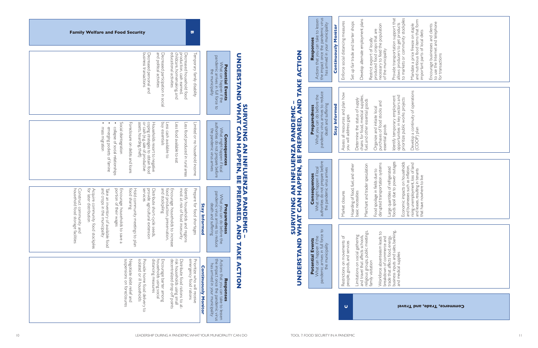| <b>Family Welfare and Food Security</b><br><b>W</b>                                                                                                                                                                                                                                                                                                                                                                                                                                                                                                                   |                                                                                                                                                        | Actions that you can take to lessen<br>the impact once the pandemic virus<br>has arrived in your municipality<br><b>Responses<br/>at you can take</b>                                                                                                          | Provide transportation support that<br>allows producers to get products<br>to markets or community stockpiles<br>Develop alternate employment plans<br>Mandate a price freeze on staple<br>and nutritious food items that form<br>important parts of local diets<br>βğ<br>Set up fair trade and barter shops<br>Encourage businesses and clients<br>to use the Internet and telephone<br>for transactions<br>Restrict export of locally<br>produced food crops that are<br>neessary to feed the population<br>of the municipality<br><b>Continuously Monitor</b><br>Enforce social distancing measur |
|-----------------------------------------------------------------------------------------------------------------------------------------------------------------------------------------------------------------------------------------------------------------------------------------------------------------------------------------------------------------------------------------------------------------------------------------------------------------------------------------------------------------------------------------------------------------------|--------------------------------------------------------------------------------------------------------------------------------------------------------|----------------------------------------------------------------------------------------------------------------------------------------------------------------------------------------------------------------------------------------------------------------|------------------------------------------------------------------------------------------------------------------------------------------------------------------------------------------------------------------------------------------------------------------------------------------------------------------------------------------------------------------------------------------------------------------------------------------------------------------------------------------------------------------------------------------------------------------------------------------------------|
| Decreased personal and<br>business transactions<br>Decreased household food<br>production, cash earned,<br>childcare, homemaking, and<br>educational activities<br>Decreased participation in<br>and political activities<br>Temporary family disability                                                                                                                                                                                                                                                                                                              | pan<br><b>Potential Events</b><br>What can happen if the<br>indemic arrives in full force t<br>the municipality                                        | <b>ZOTION</b><br>CNDERSTAND<br><b>TAKE</b>                                                                                                                                                                                                                     |                                                                                                                                                                                                                                                                                                                                                                                                                                                                                                                                                                                                      |
| social<br>Limited or no household income<br>Social disintegration<br>$\sqrt{2}$<br>$\bullet\qquad\bullet\qquad$<br>Foreclosure on debts<br>Households resort to negative<br>coping strategies to obtain food<br>or cash (e.g. sale of productive<br>assets, hoarding, theft)<br>Less<br>ess food available to eat<br>ess food<br>emerging pockets of famine<br>collapse of social relationships<br>mass migration<br>ss cash available to<br>y essentials<br>produced in                                                                                              | $\overline{\circ}$<br><b>Consequences</b><br>What might happen if local<br>authorities do not prepare befor <del>e</del><br>the pandemic virus arrives | <b>Preparedness</b><br>at you can do before the<br>at you can do before the<br>AND<br>What you can do beiore<br>pandemic virus arrives to re<br>death and suffering<br><b>SURVIVING<br/>SURVIVING</b><br><b>ZA PANDEMIC<br/>PREPARED, AN</b><br>H <sub>2</sub> | Develop a continuity of operations<br>(COOP) plan<br>Assess all resources and plan how<br>you will address gaps<br>ldentify temporary employment<br>opportunities in key sectors and<br>prioritize public works projects<br>Determine the status of supply<br>chains for food, medical supplie<br>fuel, and other essential goods<br>and<br><b>Stay Informed</b><br>Organize and initiate local<br>purchases of food stocks an<br>essential goods                                                                                                                                                    |
| pue<br>$\overline{\Xi}$<br>loans<br>areas<br>Construct con<br>household foo<br>and<br>Prepare for food shortages<br><b>Di</b><br>Take                                                                                                                                                                                                                                                                                                                                                                                                                                 | $\omega$                                                                                                                                               | N<br>N<br>N<br>N<br><b>THALLOUTS</b><br><b>Consequences</b><br>What might happen if local<br>uthorities do not prepare before<br>the pandemic virus arrives<br>$\Box$<br><b>ANENEN,</b><br><b>IZA PANI</b><br><b>UZW</b>                                       | Large quantities of refrigerated<br>foods spoil due to power outages<br>Economic impacts on households<br>and businesses such as inflation,<br>rising unemployment, loss of land<br>and leases, resulting in tenants<br>that have nowhere to live<br>Food spoilage in fields due to<br>disrupted transportation systems<br>rchant and trader speculation<br>Hoarding of food, fuel, and other<br>basic necessities<br>Market closures                                                                                                                                                                |
| Encourage households to save<br>portion of their wages<br>Identify households and regions<br>most at risk of food insecurity<br>Hold community meetings to plan<br>food sharing<br>Distribute short-cycle seeds,<br>provide agricultural extension<br>  services<br>Encourage households to increase<br>food production, preservation,<br>and stockpiling<br>Acquire community food stockpiles<br>for later distribution<br>an inventory of available food<br>crops in the municipality<br><b>Stay Informed</b><br>nmmunity and<br>ood storage facilities<br>$\omega$ | <b>Preparedness</b><br>What you can do before the<br>pandemic virus arrives to reduce<br>death and suffering                                           | $rac{1}{a}$<br><b>IDENIC-</b><br><b>SURVIV</b><br>$\overline{C}$<br>force -<br>Events<br>计计<br>÷.<br><b>AKE</b>                                                                                                                                                | $\frac{\omega}{\sum}$                                                                                                                                                                                                                                                                                                                                                                                                                                                                                                                                                                                |
| Distribute food rations to at-<br>risk households using small<br>decentralized drop-off points<br>Prioritize who will receive<br>emergency food rations<br>Negotiate debt relief and<br>suspensions on foreclosur<br>Provide home food deliv<br>isolated or ill households<br>  Encourage barter among<br>  households using social<br>  distancing measures<br><b>Continuously Monitor</b><br>delivery                                                                                                                                                               | <b>Responses</b><br>Actions that you can take to lessen<br>the impact once the pandemic virus<br>has arrived in your municipality                      | UNDERSTAND<br>What can happen in L<br>pandemic arrives in full for<br>the municipality<br>Potential<br>Þ<br><b>CTION</b>                                                                                                                                       | Workforce absenteeism leads to<br>breakdown of commerce and<br>trade that affects food, energy,<br>business inputs and sales, banking<br>and medical supplies<br>  Limitations on social gathering<br>  and travel that affects schools,<br>  religious groups, public meetings,<br>  family visitation<br>Restrictions on movements of<br>people, goods, and services                                                                                                                                                                                                                               |

|                                                                                                                                                                                                                                                                                                                             | and political activities<br>educational activities<br>business transactions<br>childcare, homemaking, and<br>production, cash earned,<br>Decreased household food<br>Decreased personal and<br>Decreased participation in social                     | Temporary family disability<br>pandemic arrives in full force to<br>What can happen if the<br><b>Potential Events</b><br>the municipality                                                                 |
|-----------------------------------------------------------------------------------------------------------------------------------------------------------------------------------------------------------------------------------------------------------------------------------------------------------------------------|------------------------------------------------------------------------------------------------------------------------------------------------------------------------------------------------------------------------------------------------------|-----------------------------------------------------------------------------------------------------------------------------------------------------------------------------------------------------------|
| Social disintegration<br>Foreclosure on debts and loans<br>mass migration<br>emerging pockets of famine<br>collapse of social relationships                                                                                                                                                                                 | assets, hoarding, theft)<br>or cash (e.g. sale of productive<br>coping strategies to obtain food<br>buy essentials<br>Households resort to negative<br>Less food produced in rural areas<br>Less cash available to<br>Less food available to eat     | authorities do not prepare betore<br>Limited or no household income<br>What might happen if local<br>the pandemic virus arrives<br>Consequences                                                           |
| and crops in the municipality<br>food sharing<br>for later distribution<br>household food storage facilities<br>portion of their wages<br>Encourage households to<br>Acquire community food<br>Hold community meetings<br>Construct community and<br>Take an inventory of available food<br>stockpiles<br>save a<br>co plan | and stockpiling<br>services<br>food production, preservation,<br>most at risk of food insecurity<br>provide agricultural extension<br>Encourage households to<br>Identify households and regions<br>Distribute short-cycle seeds,<br><b>Increase</b> | Prepare for food shortages<br>pandemic virus arrives to reduce<br>What you can do before the<br>death and suffering<br><b>Stay Informe</b><br>Preparedness<br>o                                           |
| suspensions on foreclosures<br>Negotiate debt relief and                                                                                                                                                                                                                                                                    | distancing measures<br>decentralized drop-off points<br>Provide home food delivery to<br>households using social<br>risk households using small<br>isolated or ill households<br>Encourage barter among<br>Distribute food rations to at-            | emergency food rations<br>Prioritize AHO All receive<br>the impact once the pandemic v<br>Actions that you can take to les<br>has arrived in your municipalit<br><b>Continuously Monitor</b><br>Responses |